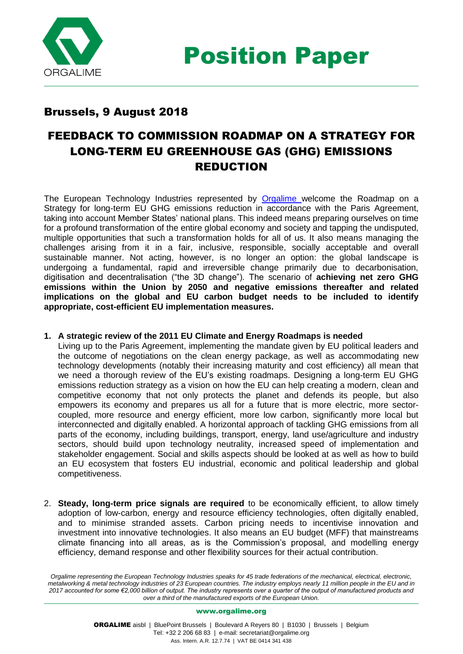

## Brussels, 9 August 2018

## FEEDBACK TO COMMISSION ROADMAP ON A STRATEGY FOR LONG-TERM EU GREENHOUSE GAS (GHG) EMISSIONS REDUCTION

The European Technology Industries represented by [Orgalime](http://www.orgalime.org/) welcome the Roadmap on a Strategy for long-term EU GHG emissions reduction in accordance with the Paris Agreement, taking into account Member States' national plans. This indeed means preparing ourselves on time for a profound transformation of the entire global economy and society and tapping the undisputed, multiple opportunities that such a transformation holds for all of us. It also means managing the challenges arising from it in a fair, inclusive, responsible, socially acceptable and overall sustainable manner. Not acting, however, is no longer an option: the global landscape is undergoing a fundamental, rapid and irreversible change primarily due to decarbonisation, digitisation and decentralisation ("the 3D change"). The scenario of **achieving net zero GHG emissions within the Union by 2050 and negative emissions thereafter and related implications on the global and EU carbon budget needs to be included to identify appropriate, cost-efficient EU implementation measures.** 

## **1. A strategic review of the 2011 EU Climate and Energy Roadmaps is needed**

Living up to the Paris Agreement, implementing the mandate given by EU political leaders and the outcome of negotiations on the clean energy package, as well as accommodating new technology developments (notably their increasing maturity and cost efficiency) all mean that we need a thorough review of the EU's existing roadmaps. Designing a long-term EU GHG emissions reduction strategy as a vision on how the EU can help creating a modern, clean and competitive economy that not only protects the planet and defends its people, but also empowers its economy and prepares us all for a future that is more electric, more sectorcoupled, more resource and energy efficient, more low carbon, significantly more local but interconnected and digitally enabled. A horizontal approach of tackling GHG emissions from all parts of the economy, including buildings, transport, energy, land use/agriculture and industry sectors, should build upon technology neutrality, increased speed of implementation and stakeholder engagement. Social and skills aspects should be looked at as well as how to build an EU ecosystem that fosters EU industrial, economic and political leadership and global competitiveness.

2. **Steady, long-term price signals are required** to be economically efficient, to allow timely adoption of low-carbon, energy and resource efficiency technologies, often digitally enabled, and to minimise stranded assets. Carbon pricing needs to incentivise innovation and investment into innovative technologies. It also means an EU budget (MFF) that mainstreams climate financing into all areas, as is the Commission's proposal, and modelling energy efficiency, demand response and other flexibility sources for their actual contribution.

*Orgalime representing the European Technology Industries speaks for 45 trade federations of the mechanical, electrical, electronic, metalworking & metal technology industries of 23 European countries. The industry employs nearly 11 million people in the EU and in 2017 accounted for some €2,000 billion of output. The industry represents over a quarter of the output of manufactured products and over a third of the manufactured exports of the European Union.*

## [www.orgalime.org](http://www.orgalime.org/)